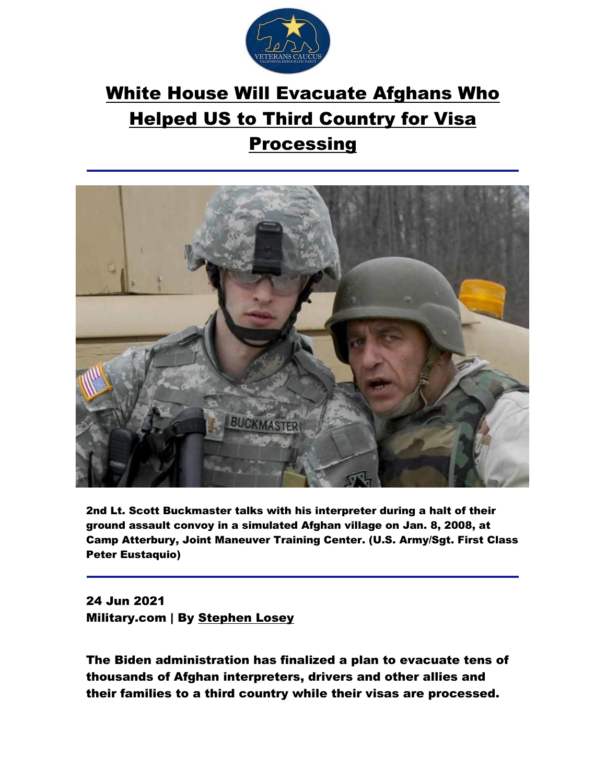

## [White House Will Evacuate Afghans Who](https://www.military.com/daily-news/2021/06/24/white-house-will-evacuate-afghans-who-helped-us-third-country-visa-processing.html?ESRC=eb_210625.nl)  [Helped US to Third Country for Visa](https://www.military.com/daily-news/2021/06/24/white-house-will-evacuate-afghans-who-helped-us-third-country-visa-processing.html?ESRC=eb_210625.nl)

## **[Processing](https://www.military.com/daily-news/2021/06/24/white-house-will-evacuate-afghans-who-helped-us-third-country-visa-processing.html?ESRC=eb_210625.nl)**



2nd Lt. Scott Buckmaster talks with his interpreter during a halt of their ground assault convoy in a simulated Afghan village on Jan. 8, 2008, at Camp Atterbury, Joint Maneuver Training Center. (U.S. Army/Sgt. First Class Peter Eustaquio)

24 Jun 2021 Military.com | By [Stephen Losey](https://www.military.com/author/Stephen-losey)

The Biden administration has finalized a plan to evacuate tens of thousands of Afghan interpreters, drivers and other allies and their families to a third country while their visas are processed.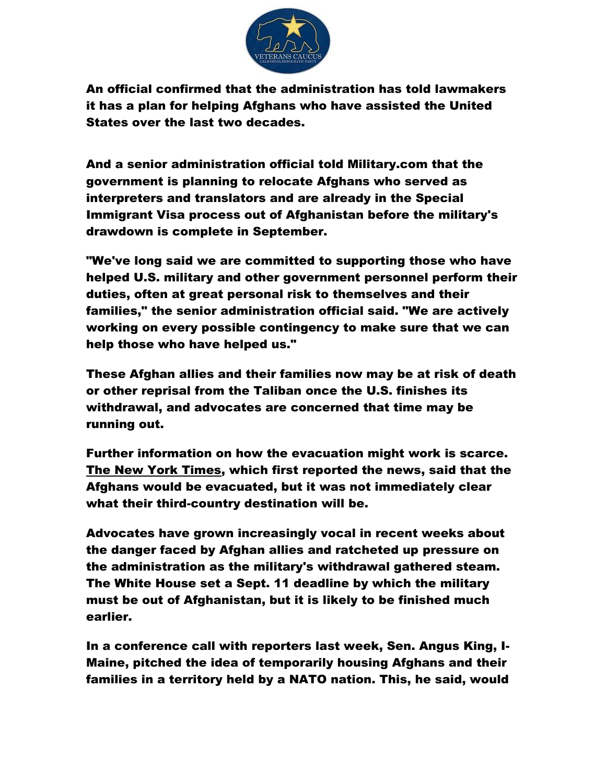

An official confirmed that the administration has told lawmakers it has a plan for helping Afghans who have assisted the United States over the last two decades.

And a senior administration official told Military.com that the government is planning to relocate Afghans who served as interpreters and translators and are already in the Special Immigrant Visa process out of Afghanistan before the military's drawdown is complete in September.

"We've long said we are committed to supporting those who have helped U.S. military and other government personnel perform their duties, often at great personal risk to themselves and their families," the senior administration official said. "We are actively working on every possible contingency to make sure that we can help those who have helped us."

These Afghan allies and their families now may be at risk of death or other reprisal from the Taliban once the U.S. finishes its withdrawal, and advocates are concerned that time may be running out.

Further information on how the evacuation might work is scarce. [The New York Times,](https://www.nytimes.com/2021/06/24/us/politics/afghan-interpreters-visas.html?smid=tw-share) which first reported the news, said that the Afghans would be evacuated, but it was not immediately clear what their third-country destination will be.

Advocates have grown increasingly vocal in recent weeks about the danger faced by Afghan allies and ratcheted up pressure on the administration as the military's withdrawal gathered steam. The White House set a Sept. 11 deadline by which the military must be out of Afghanistan, but it is likely to be finished much earlier.

In a conference call with reporters last week, Sen. Angus King, I-Maine, pitched the idea of temporarily housing Afghans and their families in a territory held by a NATO nation. This, he said, would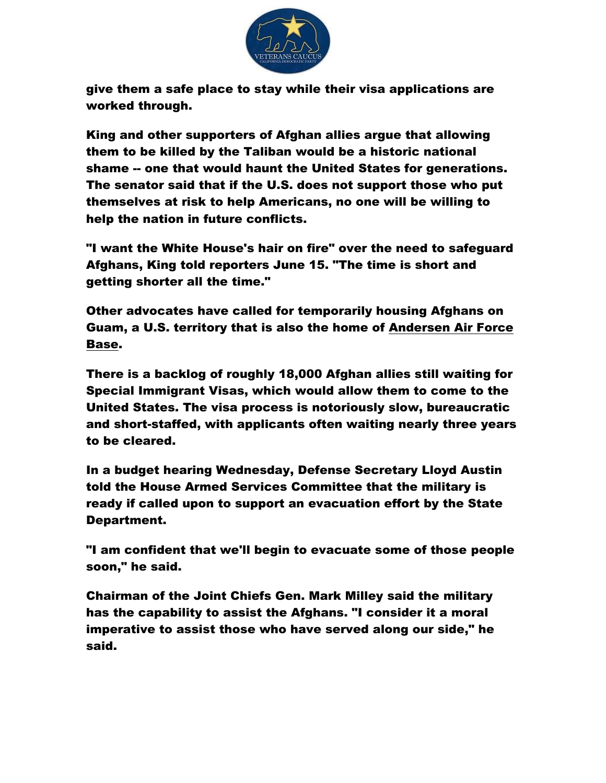

give them a safe place to stay while their visa applications are worked through.

King and other supporters of Afghan allies argue that allowing them to be killed by the Taliban would be a historic national shame -- one that would haunt the United States for generations. The senator said that if the U.S. does not support those who put themselves at risk to help Americans, no one will be willing to help the nation in future conflicts.

"I want the White House's hair on fire" over the need to safeguard Afghans, King told reporters June 15. "The time is short and getting shorter all the time."

Other advocates have called for temporarily housing Afghans on Guam, a U.S. territory that is also the home of [Andersen Air Force](http://www.military.com/base-guide/andersen-air-force-base)  [Base.](http://www.military.com/base-guide/andersen-air-force-base)

There is a backlog of roughly 18,000 Afghan allies still waiting for Special Immigrant Visas, which would allow them to come to the United States. The visa process is notoriously slow, bureaucratic and short-staffed, with applicants often waiting nearly three years to be cleared.

In a budget hearing Wednesday, Defense Secretary Lloyd Austin told the House Armed Services Committee that the military is ready if called upon to support an evacuation effort by the State Department.

"I am confident that we'll begin to evacuate some of those people soon," he said.

Chairman of the Joint Chiefs Gen. Mark Milley said the military has the capability to assist the Afghans. "I consider it a moral imperative to assist those who have served along our side," he said.